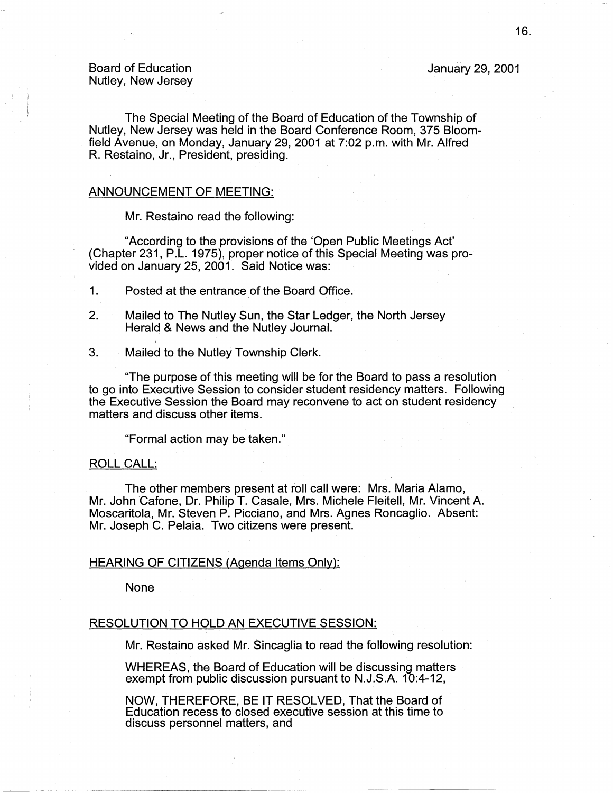# January 29, 2001

# Board of Education Nutley, New Jersey

I I I

The Special Meeting of the Board of Education of the Township of Nutley, New Jersey was held in the Board Conference Room, 375 Bloomfield Avenue, on Monday, January 29, 2001 at 7:02 p.m. with Mr. Alfred R. Restaino, Jr., President, presiding.

### ANNOUNCEMENT OF MEETING:

Mr. Restaino read the following:

"According to the provisions of the 'Open Public Meetings Act' (Chapter 231, P.L. 1975), proper notice of this Special Meeting was provided on January 25, 2001. Said Notice was:

1. Posted at the entrance of the Board Office.

- 2. Mailed to The Nutley Sun, the Star Ledger, the North Jersey Herald & News and the Nutley Journal.
- 3. Mailed to the Nutley Township Clerk.

"The purpose of this meeting will be for the Board to pass a resolution to go into Executive Session to consider student residency matters. Following the Executive Session the Board may reconvene to act on student residency matters and discuss other items.

"Formal action may be taken."

## ROLL CALL:

The other members present at roll call were: Mrs. Maria Alamo, Mr. John Catone, Dr. Philip T. Casale, Mrs. Michele Fleitell, Mr. Vincent A. Moscaritola, Mr. Steven P. Picciano, and Mrs. Agnes Roncaglio. Absent: Mr. Joseph C. Pelaia. Two citizens were present.

## HEARING OF CITIZENS (Agenda Items Only):

None

### RESOLUTION TO HOLD AN EXECUTIVE SESSION:

Mr. Restaino asked Mr. Sincaglia to read the following resolution:

WHEREAS, the Board of Education will be discussing matters exempt from public discussion pursuant to N.J.S.A. 10:4-12,

NOW, THEREFORE, BE IT RESOLVED, That the Board of Education recess to closed executive session at this time to discuss personnel matters, and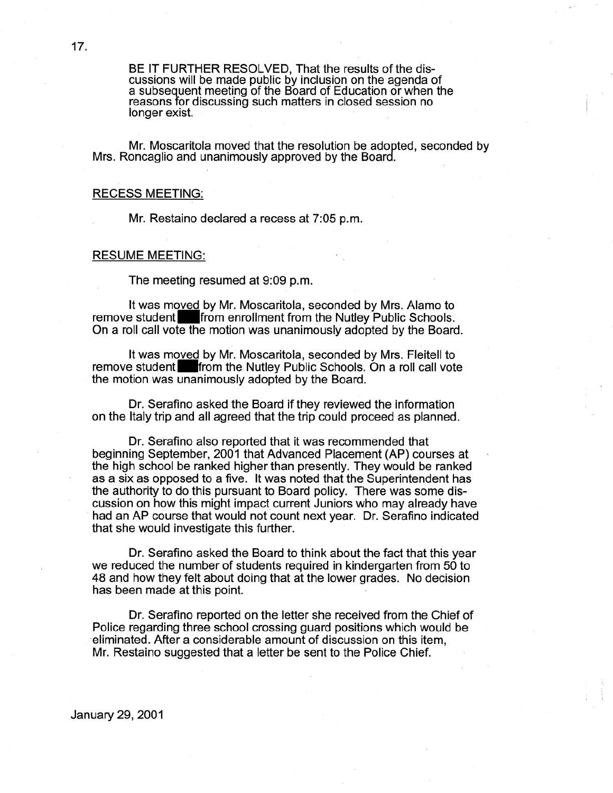BE IT FURTHER RESOLVED, That the results of the discussions will be made public by inclusion on the agenda of a subsequent meeting of the Board of Education or when the reasons for discussing such matters in closed session no longer exist.

Mr. Moscaritola moved that the resolution be adopted, seconded by Mrs. Roncaglio and unanimously approved by the Board.

### RECESS MEETING:

Mr. Restaino declared a recess at 7:05 p.m.

#### RESUME MEETING:

The meeting resumed at 9:09 p.m.

It was moved by Mr. Moscaritola, seconded by Mrs. Alamo to remove student from enrollment from the Nutley Public Schools. On a roll call vote the motion was unanimously adopted by the Board.

It was moved by Mr. Moscaritola, seconded by Mrs. Fleitell to remove student from the Nutley Public Schools. On a roll call vote the motion was unanimously adopted by the Board.

Dr. Serafino asked the Board if they reviewed the information on the Italy trip and all agreed that the trip could proceed as planned.

Dr. Serafino also reported that it was recommended that beginning September, 2001 that Advanced Placement (AP) courses at the high school be ranked higher than presently. They would be ranked as a six as opposed to a five. It was noted that the Superintendent has the authority to do this pursuant to Board policy. There was some discussion on how this might impact current Juniors who may already have had an AP course that would not count next year. Dr. Serafino indicated that she would investigate this further.

Dr. Serafino asked the Board to think about the fact that this year we reduced the number of students required in kindergarten from 50 to 48 and how they felt about doing that at the lower grades. No decision has been made at this point.

Dr. Serafino reported on the letter she received from the Chief of Police regarding three school crossing guard positions which would be eliminated. After a considerable amount of discussion on this item, Mr. Restaino suggested that a letter be sent to the Police Chief.